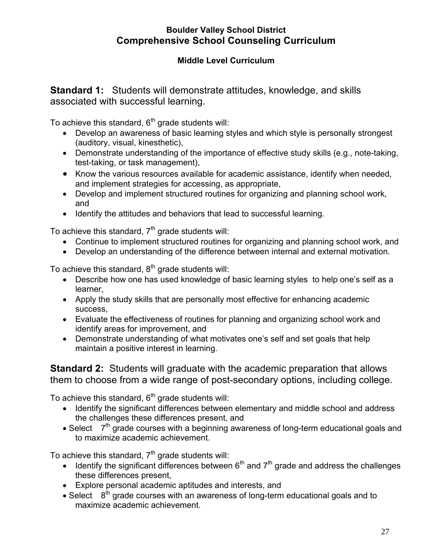## **Boulder Valley School District Comprehensive School Counseling Curriculum**

## **Middle Level Curriculum**

**Standard 1:** Students will demonstrate attitudes, knowledge, and skills associated with successful learning.

To achieve this standard,  $6<sup>th</sup>$  grade students will:

- Develop an awareness of basic learning styles and which style is personally strongest (auditory, visual, kinesthetic),
- Demonstrate understanding of the importance of effective study skills (e.g., note-taking, test-taking, or task management),
- Know the various resources available for academic assistance, identify when needed, and implement strategies for accessing, as appropriate,
- Develop and implement structured routines for organizing and planning school work, and
- Identify the attitudes and behaviors that lead to successful learning.

To achieve this standard,  $7<sup>th</sup>$  grade students will:

- Continue to implement structured routines for organizing and planning school work, and
- Develop an understanding of the difference between internal and external motivation.

To achieve this standard,  $8<sup>th</sup>$  grade students will:

- Describe how one has used knowledge of basic learning styles to help one's self as a learner,
- Apply the study skills that are personally most effective for enhancing academic success,
- Evaluate the effectiveness of routines for planning and organizing school work and identify areas for improvement, and
- Demonstrate understanding of what motivates one's self and set goals that help maintain a positive interest in learning.

**Standard 2:** Students will graduate with the academic preparation that allows them to choose from a wide range of post-secondary options, including college.

To achieve this standard,  $6<sup>th</sup>$  grade students will:

- Identify the significant differences between elementary and middle school and address the challenges these differences present, and
- Select 7<sup>th</sup> grade courses with a beginning awareness of long-term educational goals and to maximize academic achievement.

To achieve this standard,  $7<sup>th</sup>$  grade students will:

- $\bullet$  Identify the significant differences between 6<sup>th</sup> and 7<sup>th</sup> grade and address the challenges these differences present,
- Explore personal academic aptitudes and interests, and
- $\bullet$  Select  $8<sup>th</sup>$  grade courses with an awareness of long-term educational goals and to maximize academic achievement.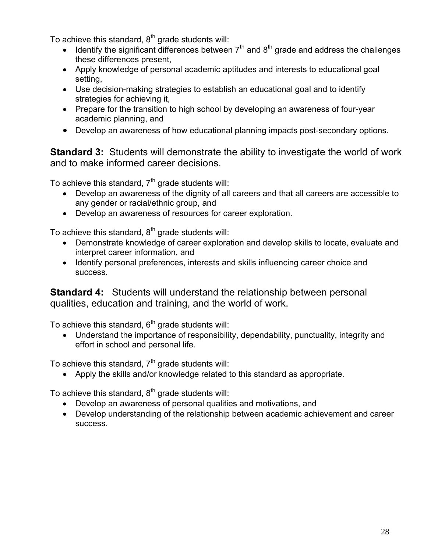To achieve this standard,  $8<sup>th</sup>$  grade students will:

- $\bullet$  Identify the significant differences between  $7<sup>th</sup>$  and  $8<sup>th</sup>$  grade and address the challenges these differences present,
- Apply knowledge of personal academic aptitudes and interests to educational goal setting,
- Use decision-making strategies to establish an educational goal and to identify strategies for achieving it,
- Prepare for the transition to high school by developing an awareness of four-year academic planning, and
- Develop an awareness of how educational planning impacts post-secondary options.

**Standard 3:** Students will demonstrate the ability to investigate the world of work and to make informed career decisions.

To achieve this standard,  $7<sup>th</sup>$  grade students will:

- Develop an awareness of the dignity of all careers and that all careers are accessible to any gender or racial/ethnic group, and
- Develop an awareness of resources for career exploration.

To achieve this standard,  $8<sup>th</sup>$  grade students will:

- Demonstrate knowledge of career exploration and develop skills to locate, evaluate and interpret career information, and
- Identify personal preferences, interests and skills influencing career choice and success.

**Standard 4:** Students will understand the relationship between personal qualities, education and training, and the world of work.

To achieve this standard,  $6<sup>th</sup>$  grade students will:

 Understand the importance of responsibility, dependability, punctuality, integrity and effort in school and personal life.

To achieve this standard,  $7<sup>th</sup>$  grade students will:

Apply the skills and/or knowledge related to this standard as appropriate.

To achieve this standard,  $8<sup>th</sup>$  grade students will:

- Develop an awareness of personal qualities and motivations, and
- Develop understanding of the relationship between academic achievement and career success.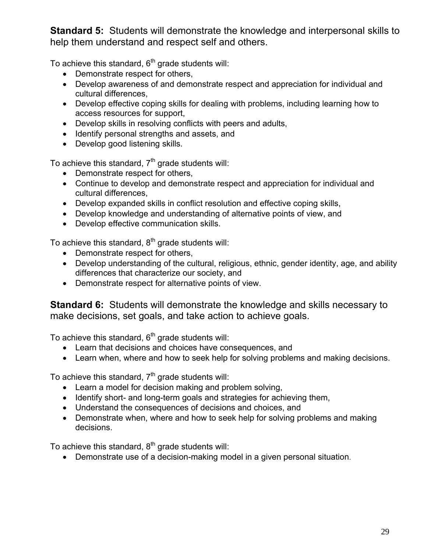**Standard 5:** Students will demonstrate the knowledge and interpersonal skills to help them understand and respect self and others.

To achieve this standard,  $6<sup>th</sup>$  grade students will:

- Demonstrate respect for others,
- Develop awareness of and demonstrate respect and appreciation for individual and cultural differences,
- Develop effective coping skills for dealing with problems, including learning how to access resources for support,
- Develop skills in resolving conflicts with peers and adults,
- Identify personal strengths and assets, and
- Develop good listening skills.

To achieve this standard,  $7<sup>th</sup>$  grade students will:

- Demonstrate respect for others,
- Continue to develop and demonstrate respect and appreciation for individual and cultural differences,
- Develop expanded skills in conflict resolution and effective coping skills,
- Develop knowledge and understanding of alternative points of view, and
- Develop effective communication skills.

To achieve this standard,  $8<sup>th</sup>$  grade students will:

- Demonstrate respect for others,
- Develop understanding of the cultural, religious, ethnic, gender identity, age, and ability differences that characterize our society, and
- Demonstrate respect for alternative points of view.

**Standard 6:** Students will demonstrate the knowledge and skills necessary to make decisions, set goals, and take action to achieve goals.

To achieve this standard,  $6<sup>th</sup>$  grade students will:

- Learn that decisions and choices have consequences, and
- Learn when, where and how to seek help for solving problems and making decisions.

To achieve this standard,  $7<sup>th</sup>$  grade students will:

- Learn a model for decision making and problem solving,
- Identify short- and long-term goals and strategies for achieving them,
- Understand the consequences of decisions and choices, and
- Demonstrate when, where and how to seek help for solving problems and making decisions.

To achieve this standard,  $8<sup>th</sup>$  grade students will:

Demonstrate use of a decision-making model in a given personal situation.